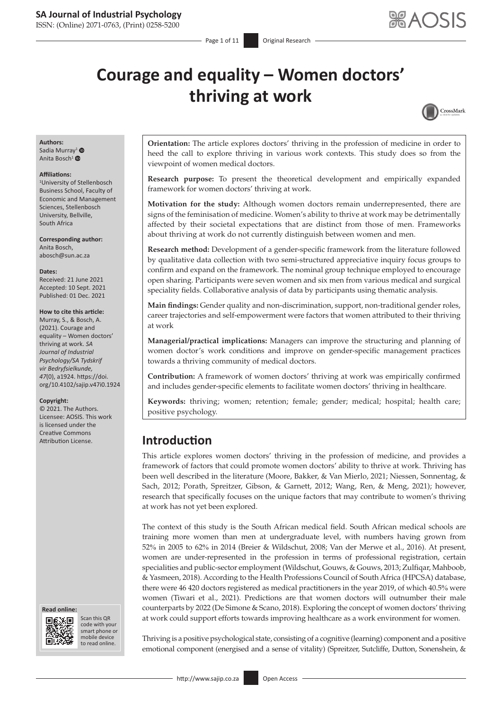ISSN: (Online) 2071-0763, (Print) 0258-5200

 $P$ age 1 of 11 Original Research

# **Courage and equality – Women doctors' thriving at work**



#### **Authors:** Sadia Murray<sup>[1](https://orcid.org/0000-0002-5695-7261)</sup> $\bullet$

Anita Bosch<sup>[1](http://orcid.org/0000-0002-6865-5439)</sup> $\bullet$ 

#### **Affiliations:**

1 University of Stellenbosch Business School, Faculty of Economic and Management Sciences, Stellenbosch University, Bellville, South Africa

**Corresponding author:** Anita Bosch, [abosch@sun.ac.za](mailto:abosch@sun.ac.za)

#### **Dates:**

Received: 21 June 2021 Accepted: 10 Sept. 2021 Published: 01 Dec. 2021

#### **How to cite this article:**

Murray, S., & Bosch, A. (2021). Courage and equality – Women doctors' thriving at work. *SA Journal of Industrial Psychology/SA Tydskrif vir Bedryfsielkunde, 47*(0), a1924. [https://doi.](https://doi.org/10.4102/sajip.v47i0.1924) [org/10.4102/sajip.v47i0.1924](https://doi.org/10.4102/sajip.v47i0.1924)

#### **Copyright:**

© 2021. The Authors. Licensee: AOSIS. This work is licensed under the Creative Commons





Scan this QR code with your Scan this QR<br>code with your<br>smart phone or<br>mobile device mobile device to read online. to read online.

**Orientation:** The article explores doctors' thriving in the profession of medicine in order to heed the call to explore thriving in various work contexts. This study does so from the viewpoint of women medical doctors.

**Research purpose:** To present the theoretical development and empirically expanded framework for women doctors' thriving at work.

**Motivation for the study:** Although women doctors remain underrepresented, there are signs of the feminisation of medicine. Women's ability to thrive at work may be detrimentally affected by their societal expectations that are distinct from those of men. Frameworks about thriving at work do not currently distinguish between women and men.

**Research method:** Development of a gender-specific framework from the literature followed by qualitative data collection with two semi-structured appreciative inquiry focus groups to confirm and expand on the framework. The nominal group technique employed to encourage open sharing. Participants were seven women and six men from various medical and surgical speciality fields. Collaborative analysis of data by participants using thematic analysis.

**Main findings:** Gender quality and non-discrimination, support, non-traditional gender roles, career trajectories and self-empowerment were factors that women attributed to their thriving at work

**Managerial/practical implications:** Managers can improve the structuring and planning of women doctor's work conditions and improve on gender-specific management practices towards a thriving community of medical doctors.

**Contribution:** A framework of women doctors' thriving at work was empirically confirmed and includes gender-specific elements to facilitate women doctors' thriving in healthcare.

**Keywords:** thriving; women; retention; female; gender; medical; hospital; health care; positive psychology.

# Attribution License. **Introduction**

This article explores women doctors' thriving in the profession of medicine, and provides a framework of factors that could promote women doctors' ability to thrive at work. Thriving has been well described in the literature (Moore, Bakker, & Van Mierlo, 2021; Niessen, Sonnentag, & Sach, 2012; Porath, Spreitzer, Gibson, & Garnett, 2012; Wang, Ren, & Meng, 2021); however, research that specifically focuses on the unique factors that may contribute to women's thriving at work has not yet been explored.

The context of this study is the South African medical field. South African medical schools are training more women than men at undergraduate level, with numbers having grown from 52% in 2005 to 62% in 2014 (Breier & Wildschut, 2008; Van der Merwe et al., 2016). At present, women are under-represented in the profession in terms of professional registration, certain specialities and public-sector employment (Wildschut, Gouws, & Gouws, 2013; Zulfiqar, Mahboob, & Yasmeen, 2018). According to the Health Professions Council of South Africa (HPCSA) database, there were 46 420 doctors registered as medical practitioners in the year 2019, of which 40.5% were women (Tiwari et al., 2021). Predictions are that women doctors will outnumber their male counterparts by 2022 (De Simone & Scano, 2018). Exploring the concept of women doctors' thriving at work could support efforts towards improving healthcare as a work environment for women.

Thriving is a positive psychological state, consisting of a cognitive (learning) component and a positive emotional component (energised and a sense of vitality) (Spreitzer, Sutcliffe, Dutton, Sonenshein, &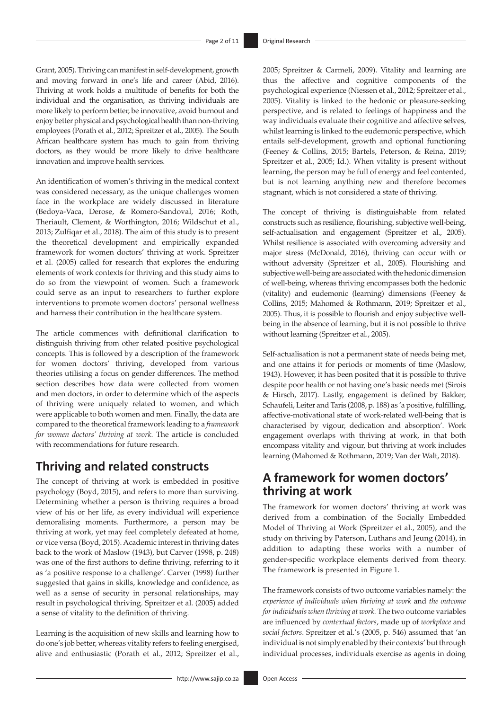Grant, 2005). Thriving can manifest in self-development, growth and moving forward in one's life and career (Abid, 2016). Thriving at work holds a multitude of benefits for both the individual and the organisation, as thriving individuals are more likely to perform better, be innovative, avoid burnout and enjoy better physical and psychological health thannon-thriving employees (Porath et al., 2012; Spreitzer et al., 2005). The South African healthcare system has much to gain from thriving doctors, as they would be more likely to drive healthcare innovation and improve health services.

An identification of women's thriving in the medical context was considered necessary, as the unique challenges women face in the workplace are widely discussed in literature (Bedoya-Vaca, Derose, & Romero-Sandoval, 2016; Roth, Theriault, Clement, & Worthington, 2016; Wildschut et al., 2013; Zulfiqar et al., 2018). The aim of this study is to present the theoretical development and empirically expanded framework for women doctors' thriving at work. Spreitzer et al. (2005) called for research that explores the enduring elements of work contexts for thriving and this study aims to do so from the viewpoint of women. Such a framework could serve as an input to researchers to further explore interventions to promote women doctors' personal wellness and harness their contribution in the healthcare system.

The article commences with definitional clarification to distinguish thriving from other related positive psychological concepts. This is followed by a description of the framework for women doctors' thriving, developed from various theories utilising a focus on gender differences. The method section describes how data were collected from women and men doctors, in order to determine which of the aspects of thriving were uniquely related to women, and which were applicable to both women and men. Finally, the data are compared to the theoretical framework leading to a *framework for women doctors' thriving at work*. The article is concluded with recommendations for future research.

# **Thriving and related constructs**

The concept of thriving at work is embedded in positive psychology (Boyd, 2015), and refers to more than surviving. Determining whether a person is thriving requires a broad view of his or her life, as every individual will experience demoralising moments. Furthermore, a person may be thriving at work, yet may feel completely defeated at home, or vice versa (Boyd, 2015). Academic interest in thriving dates back to the work of Maslow (1943), but Carver (1998, p. 248) was one of the first authors to define thriving, referring to it as 'a positive response to a challenge'. Carver (1998) further suggested that gains in skills, knowledge and confidence, as well as a sense of security in personal relationships, may result in psychological thriving. Spreitzer et al. (2005) added a sense of vitality to the definition of thriving.

Learning is the acquisition of new skills and learning how to do one's job better, whereas vitality refers to feeling energised, alive and enthusiastic (Porath et al., 2012; Spreitzer et al., 2005; Spreitzer & Carmeli, 2009). Vitality and learning are thus the affective and cognitive components of the psychological experience (Niessen et al., 2012; Spreitzer et al., 2005). Vitality is linked to the hedonic or pleasure-seeking perspective, and is related to feelings of happiness and the way individuals evaluate their cognitive and affective selves, whilst learning is linked to the eudemonic perspective, which entails self-development, growth and optional functioning (Feeney & Collins, 2015; Bartels, Peterson, & Reina, 2019; Spreitzer et al., 2005; Id.). When vitality is present without learning, the person may be full of energy and feel contented, but is not learning anything new and therefore becomes stagnant, which is not considered a state of thriving.

The concept of thriving is distinguishable from related constructs such as resilience, flourishing, subjective well-being, self-actualisation and engagement (Spreitzer et al., 2005). Whilst resilience is associated with overcoming adversity and major stress (McDonald, 2016), thriving can occur with or without adversity (Spreitzer et al., 2005). Flourishing and subjective well-being are associated with the hedonic dimension of well-being, whereas thriving encompasses both the hedonic (vitality) and eudemonic (learning) dimensions (Feeney & Collins, 2015; Mahomed & Rothmann, 2019; Spreitzer et al., 2005). Thus, it is possible to flourish and enjoy subjective wellbeing in the absence of learning, but it is not possible to thrive without learning (Spreitzer et al., 2005).

Self-actualisation is not a permanent state of needs being met, and one attains it for periods or moments of time (Maslow, 1943). However, it has been posited that it is possible to thrive despite poor health or not having one's basic needs met (Sirois & Hirsch, 2017). Lastly, engagement is defined by Bakker, Schaufeli, Leiter and Taris (2008, p. 188) as 'a positive, fulfilling, affective-motivational state of work-related well-being that is characterised by vigour, dedication and absorption'. Work engagement overlaps with thriving at work, in that both encompass vitality and vigour, but thriving at work includes learning (Mahomed & Rothmann, 2019; Van der Walt, 2018).

# **A framework for women doctors' thriving at work**

The framework for women doctors' thriving at work was derived from a combination of the Socially Embedded Model of Thriving at Work (Spreitzer et al., 2005), and the study on thriving by Paterson, Luthans and Jeung (2014), in addition to adapting these works with a number of gender-specific workplace elements derived from theory. The framework is presented in Figure 1.

The framework consists of two outcome variables namely: the *experience of individuals when thriving at work* and *the outcome for individuals when thriving at work.* The two outcome variables are influenced by *contextual factors*, made up of *workplace* and *social factors*. Spreitzer et al.'s (2005, p. 546) assumed that 'an individual is not simply enabled by their contexts' but through individual processes, individuals exercise as agents in doing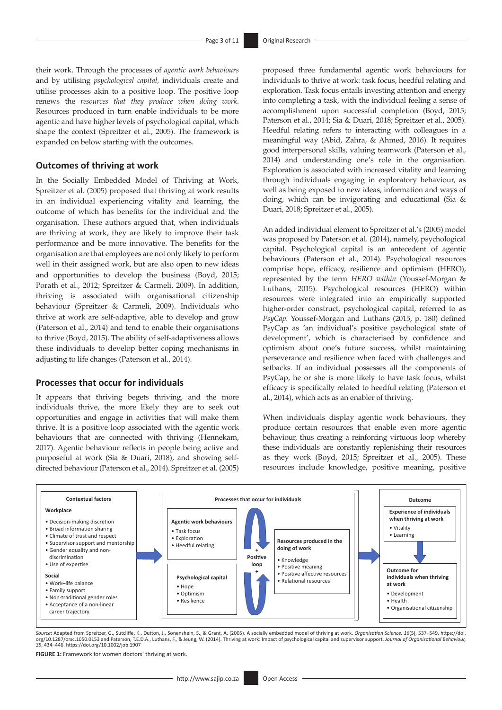their work. Through the processes of *agentic work behaviours* and by utilising *psychological capital,* individuals create and utilise processes akin to a positive loop. The positive loop renews the *resources that they produce when doing work*. Resources produced in turn enable individuals to be more agentic and have higher levels of psychological capital, which shape the context (Spreitzer et al., 2005). The framework is expanded on below starting with the outcomes.

#### **Outcomes of thriving at work**

In the Socially Embedded Model of Thriving at Work, Spreitzer et al. (2005) proposed that thriving at work results in an individual experiencing vitality and learning, the outcome of which has benefits for the individual and the organisation. These authors argued that, when individuals are thriving at work, they are likely to improve their task performance and be more innovative. The benefits for the organisation are that employees are not only likely to perform well in their assigned work, but are also open to new ideas and opportunities to develop the business (Boyd, 2015; Porath et al., 2012; Spreitzer & Carmeli, 2009). In addition, thriving is associated with organisational citizenship behaviour (Spreitzer & Carmeli, 2009). Individuals who thrive at work are self-adaptive, able to develop and grow (Paterson et al., 2014) and tend to enable their organisations to thrive (Boyd, 2015). The ability of self-adaptiveness allows these individuals to develop better coping mechanisms in adjusting to life changes (Paterson et al., 2014).

#### **Processes that occur for individuals**

It appears that thriving begets thriving, and the more individuals thrive, the more likely they are to seek out opportunities and engage in activities that will make them thrive. It is a positive loop associated with the agentic work behaviours that are connected with thriving (Hennekam, 2017). Agentic behaviour reflects in people being active and purposeful at work (Sia & Duari, 2018), and showing selfdirected behaviour (Paterson et al., 2014). Spreitzer et al. (2005) proposed three fundamental agentic work behaviours for individuals to thrive at work: task focus, heedful relating and exploration. Task focus entails investing attention and energy into completing a task, with the individual feeling a sense of accomplishment upon successful completion (Boyd, 2015; Paterson et al., 2014; Sia & Duari, 2018; Spreitzer et al., 2005). Heedful relating refers to interacting with colleagues in a meaningful way (Abid, Zahra, & Ahmed, 2016). It requires good interpersonal skills, valuing teamwork (Paterson et al., 2014) and understanding one's role in the organisation. Exploration is associated with increased vitality and learning through individuals engaging in exploratory behaviour, as well as being exposed to new ideas, information and ways of doing, which can be invigorating and educational (Sia & Duari, 2018; Spreitzer et al., 2005).

An added individual element to Spreitzer et al.'s (2005) model was proposed by Paterson et al. (2014), namely, psychological capital. Psychological capital is an antecedent of agentic behaviours (Paterson et al., 2014). Psychological resources comprise hope, efficacy, resilience and optimism (HERO), represented by the term *HERO within* (Youssef-Morgan & Luthans, 2015). Psychological resources (HERO) within resources were integrated into an empirically supported higher-order construct, psychological capital, referred to as *PsyCap*. Youssef-Morgan and Luthans (2015, p. 180) defined PsyCap as 'an individual's positive psychological state of development', which is characterised by confidence and optimism about one's future success, whilst maintaining perseverance and resilience when faced with challenges and setbacks. If an individual possesses all the components of PsyCap, he or she is more likely to have task focus, whilst efficacy is specifically related to heedful relating (Paterson et al., 2014), which acts as an enabler of thriving.

When individuals display agentic work behaviours, they produce certain resources that enable even more agentic behaviour, thus creating a reinforcing virtuous loop whereby these individuals are constantly replenishing their resources as they work (Boyd, 2015; Spreitzer et al., 2005). These resources include knowledge, positive meaning, positive



Source: Adapted from Spreitzer, G., Sutcliffe, K., Dutton, J., Sonenshein, S., & Grant, A. (2005). A socially embedded model of thriving at work. *Organisation Science, 16*(5), 537–549. [https://doi.](https://doi.org/10.1287/orsc.1050.0153)<br>org/10.1287/orsc.1050.0 *35*, 434–446.<https://doi.org/10.1002/job.1907>

**FIGURE 1:** Framework for women doctors' thriving at work.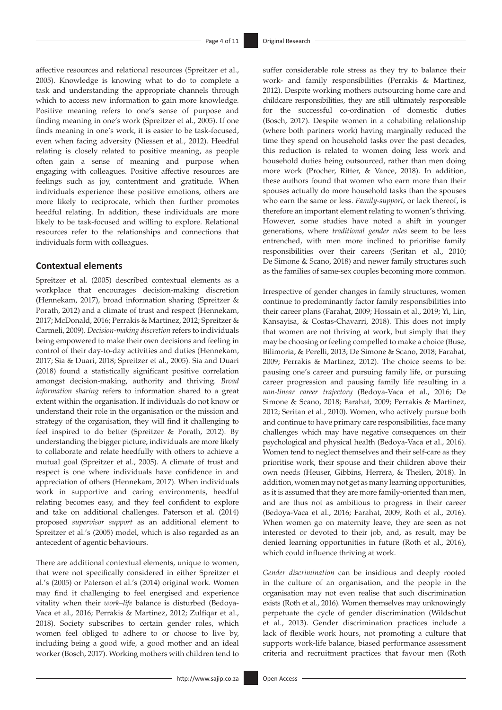affective resources and relational resources (Spreitzer et al., 2005). Knowledge is knowing what to do to complete a task and understanding the appropriate channels through which to access new information to gain more knowledge. Positive meaning refers to one's sense of purpose and finding meaning in one's work (Spreitzer et al., 2005). If one finds meaning in one's work, it is easier to be task-focused, even when facing adversity (Niessen et al., 2012). Heedful relating is closely related to positive meaning, as people often gain a sense of meaning and purpose when engaging with colleagues. Positive affective resources are feelings such as joy, contentment and gratitude. When individuals experience these positive emotions, others are more likely to reciprocate, which then further promotes heedful relating. In addition, these individuals are more likely to be task-focused and willing to explore. Relational resources refer to the relationships and connections that individuals form with colleagues.

#### **Contextual elements**

Spreitzer et al. (2005) described contextual elements as a workplace that encourages decision-making discretion (Hennekam, 2017), broad information sharing (Spreitzer & Porath, 2012) and a climate of trust and respect (Hennekam, 2017; McDonald, 2016; Perrakis & Martinez, 2012; Spreitzer & Carmeli, 2009). *Decision-making discretion* refers to individuals being empowered to make their own decisions and feeling in control of their day-to-day activities and duties (Hennekam, 2017; Sia & Duari, 2018; Spreitzer et al., 2005). Sia and Duari (2018) found a statistically significant positive correlation amongst decision-making, authority and thriving. *Broad information sharing* refers to information shared to a great extent within the organisation. If individuals do not know or understand their role in the organisation or the mission and strategy of the organisation, they will find it challenging to feel inspired to do better (Spreitzer & Porath, 2012). By understanding the bigger picture, individuals are more likely to collaborate and relate heedfully with others to achieve a mutual goal (Spreitzer et al., 2005). A climate of trust and respect is one where individuals have confidence in and appreciation of others (Hennekam, 2017). When individuals work in supportive and caring environments, heedful relating becomes easy, and they feel confident to explore and take on additional challenges. Paterson et al. (2014) proposed *supervisor support* as an additional element to Spreitzer et al.'s (2005) model, which is also regarded as an antecedent of agentic behaviours.

There are additional contextual elements, unique to women, that were not specifically considered in either Spreitzer et al.'s (2005) or Paterson et al.'s (2014) original work. Women may find it challenging to feel energised and experience vitality when their *work–life* balance is disturbed (Bedoya-Vaca et al., 2016; Perrakis & Martinez, 2012; Zulfiqar et al., 2018). Society subscribes to certain gender roles, which women feel obliged to adhere to or choose to live by, including being a good wife, a good mother and an ideal worker (Bosch, 2017). Working mothers with children tend to

suffer considerable role stress as they try to balance their work- and family responsibilities (Perrakis & Martinez, 2012). Despite working mothers outsourcing home care and childcare responsibilities, they are still ultimately responsible for the successful co-ordination of domestic duties (Bosch, 2017). Despite women in a cohabiting relationship (where both partners work) having marginally reduced the time they spend on household tasks over the past decades, this reduction is related to women doing less work and household duties being outsourced, rather than men doing more work (Procher, Ritter, & Vance, 2018). In addition, these authors found that women who earn more than their spouses actually do more household tasks than the spouses who earn the same or less. *Family-support*, or lack thereof, is therefore an important element relating to women's thriving. However, some studies have noted a shift in younger generations, where *traditional gender roles* seem to be less entrenched, with men more inclined to prioritise family responsibilities over their careers (Seritan et al., 2010; De Simone & Scano, 2018) and newer family structures such as the families of same-sex couples becoming more common.

Irrespective of gender changes in family structures, women continue to predominantly factor family responsibilities into their career plans (Farahat, 2009; Hossain et al., 2019; Yi, Lin, Kansayisa, & Costas-Chavarri, 2018). This does not imply that women are not thriving at work, but simply that they may be choosing or feeling compelled to make a choice (Buse, Bilimoria, & Perelli, 2013; De Simone & Scano, 2018; Farahat, 2009; Perrakis & Martinez, 2012). The choice seems to be: pausing one's career and pursuing family life, or pursuing career progression and pausing family life resulting in a *non-linear career trajectory* (Bedoya-Vaca et al., 2016; De Simone & Scano, 2018; Farahat, 2009; Perrakis & Martinez, 2012; Seritan et al., 2010). Women, who actively pursue both and continue to have primary care responsibilities, face many challenges which may have negative consequences on their psychological and physical health (Bedoya-Vaca et al., 2016). Women tend to neglect themselves and their self-care as they prioritise work, their spouse and their children above their own needs (Heuser, Gibbins, Herrera, & Theilen, 2018). In addition, women may not get as many learning opportunities, as it is assumed that they are more family-oriented than men, and are thus not as ambitious to progress in their career (Bedoya-Vaca et al., 2016; Farahat, 2009; Roth et al., 2016). When women go on maternity leave, they are seen as not interested or devoted to their job, and, as result, may be denied learning opportunities in future (Roth et al., 2016), which could influence thriving at work.

*Gender discrimination* can be insidious and deeply rooted in the culture of an organisation, and the people in the organisation may not even realise that such discrimination exists (Roth et al., 2016). Women themselves may unknowingly perpetuate the cycle of gender discrimination (Wildschut et al., 2013). Gender discrimination practices include a lack of flexible work hours, not promoting a culture that supports work-life balance, biased performance assessment criteria and recruitment practices that favour men (Roth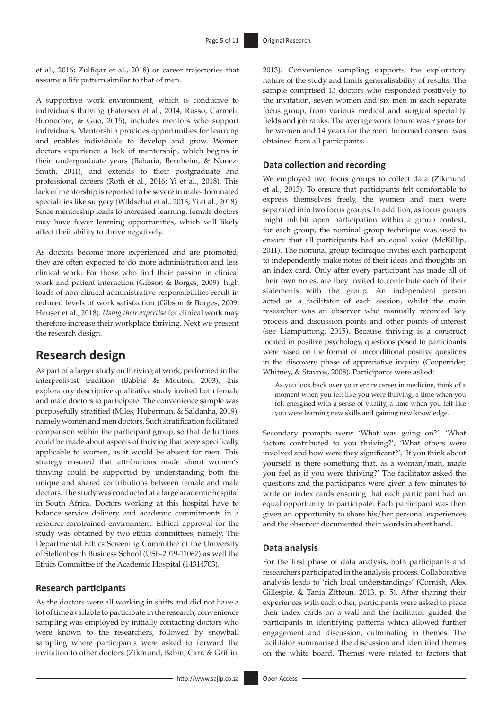et al., 2016; Zulfiqar et al., 2018) or career trajectories that assume a life pattern similar to that of men.

A supportive work environment, which is conducive to individuals thriving (Paterson et al., 2014; Russo, Carmeli, Buonocore, & Guo, 2015), includes mentors who support individuals. Mentorship provides opportunities for learning and enables individuals to develop and grow. Women doctors experience a lack of mentorship, which begins in their undergraduate years (Babaria, Bernheim, & Nunez-Smith, 2011), and extends to their postgraduate and professional careers (Roth et al., 2016; Yi et al., 2018). This lack of mentorship is reported to be severe in male-dominated specialities like surgery (Wildschut et al., 2013; Yi et al., 2018). Since mentorship leads to increased learning, female doctors may have fewer learning opportunities, which will likely affect their ability to thrive negatively.

As doctors become more experienced and are promoted, they are often expected to do more administration and less clinical work. For those who find their passion in clinical work and patient interaction (Gibson & Borges, 2009), high loads of non-clinical administrative responsibilities result in reduced levels of work satisfaction (Gibson & Borges, 2009; Heuser et al., 2018). *Using their expertise* for clinical work may therefore increase their workplace thriving. Next we present the research design.

### **Research design**

As part of a larger study on thriving at work, performed in the interpretivist tradition (Babbie & Mouton, 2003), this exploratory descriptive qualitative study invited both female and male doctors to participate. The convenience sample was purposefully stratified (Miles, Huberman, & Saldanha, 2019), namely women and men doctors. Such stratification facilitated comparison within the participant group, so that deductions could be made about aspects of thriving that were specifically applicable to women, as it would be absent for men. This strategy ensured that attributions made about women's thriving could be supported by understanding both the unique and shared contributions between female and male doctors. The study was conducted at a large academic hospital in South Africa. Doctors working at this hospital have to balance service delivery and academic commitments in a resource-constrained environment. Ethical approval for the study was obtained by two ethics committees, namely, The Departmental Ethics Screening Committee of the University of Stellenbosch Business School (USB-2019-11067) as well the Ethics Committee of the Academic Hospital (14314703).

#### **Research participants**

As the doctors were all working in shifts and did not have a lot of time available to participate in the research, convenience sampling was employed by initially contacting doctors who were known to the researchers, followed by snowball sampling where participants were asked to forward the invitation to other doctors (Zikmund, Babin, Carr, & Griffin,

2013). Convenience sampling supports the exploratory nature of the study and limits generalisability of results. The sample comprised 13 doctors who responded positively to the invitation, seven women and six men in each separate focus group, from various medical and surgical speciality fields and job ranks. The average work tenure was 9 years for the women and 14 years for the men. Informed consent was obtained from all participants.

#### **Data collection and recording**

We employed two focus groups to collect data (Zikmund et al., 2013). To ensure that participants felt comfortable to express themselves freely, the women and men were separated into two focus groups. In addition, as focus groups might inhibit open participation within a group context, for each group, the nominal group technique was used to ensure that all participants had an equal voice (McKillip, 2011). The nominal group technique invites each participant to independently make notes of their ideas and thoughts on an index card. Only after every participant has made all of their own notes, are they invited to contribute each of their statements with the group. An independent person acted as a facilitator of each session, whilst the main researcher was an observer who manually recorded key process and discussion points and other points of interest (see Liamputtong, 2015). Because thriving is a construct located in positive psychology, questions posed to participants were based on the format of unconditional positive questions in the discovery phase of appreciative inquiry (Cooperrider, Whitney, & Stavros, 2008). Participants were asked:

As you look back over your entire career in medicine, think of a moment when you felt like you were thriving, a time when you felt energised with a sense of vitality, a time when you felt like you were learning new skills and gaining new knowledge.

Secondary prompts were: 'What was going on?', 'What factors contributed to you thriving?', 'What others were involved and how were they significant?', 'If you think about yourself, is there something that, as a woman/man, made you feel as if you were thriving?' The facilitator asked the questions and the participants were given a few minutes to write on index cards ensuring that each participant had an equal opportunity to participate. Each participant was then given an opportunity to share his/her personal experiences and the observer documented their words in short hand.

#### **Data analysis**

For the first phase of data analysis, both participants and researchers participated in the analysis process. Collaborative analysis leads to 'rich local understandings' (Cornish, Alex Gillespie, & Tania Zittoun, 2013, p. 5). After sharing their experiences with each other, participants were asked to place their index cards on a wall and the facilitator guided the participants in identifying patterns which allowed further engagement and discussion, culminating in themes. The facilitator summarised the discussion and identified themes on the white board. Themes were related to factors that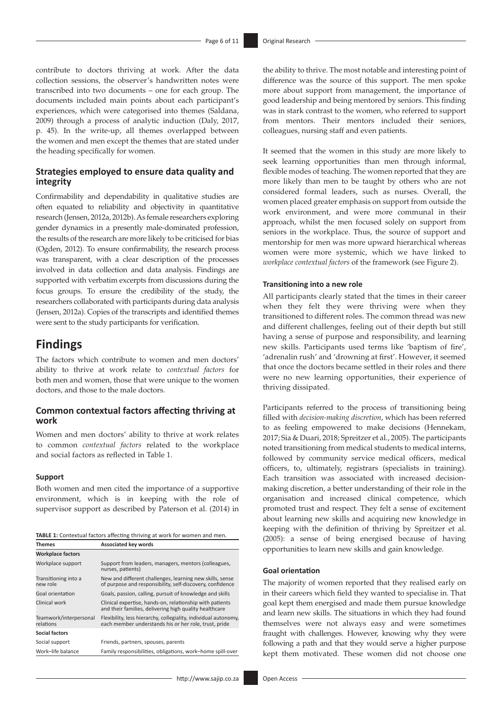contribute to doctors thriving at work. After the data collection sessions, the observer's handwritten notes were transcribed into two documents – one for each group. The documents included main points about each participant's experiences, which were categorised into themes (Saldana, 2009) through a process of analytic induction (Daly, 2017, p. 45). In the write-up, all themes overlapped between the women and men except the themes that are stated under the heading specifically for women.

#### **Strategies employed to ensure data quality and integrity**

Confirmability and dependability in qualitative studies are often equated to reliability and objectivity in quantitative research (Jensen, 2012a, 2012b). As female researchers exploring gender dynamics in a presently male-dominated profession, the results of the research are more likely to be criticised for bias (Ogden, 2012). To ensure confirmability, the research process was transparent, with a clear description of the processes involved in data collection and data analysis. Findings are supported with verbatim excerpts from discussions during the focus groups. To ensure the credibility of the study, the researchers collaborated with participants during data analysis (Jensen, 2012a). Copies of the transcripts and identified themes were sent to the study participants for verification.

### **Findings**

The factors which contribute to women and men doctors' ability to thrive at work relate to *contextual factors* for both men and women, those that were unique to the women doctors, and those to the male doctors.

#### **Common contextual factors affecting thriving at work**

Women and men doctors' ability to thrive at work relates to common *contextual factors* related to the workplace and social factors as reflected in Table 1.

#### **Support**

Both women and men cited the importance of a supportive environment, which is in keeping with the role of supervisor support as described by Paterson et al. (2014) in

|               | <b>TABLE 1:</b> Contextual factors affecting thriving at work for women and men. |
|---------------|----------------------------------------------------------------------------------|
| <b>Themes</b> | Associated key words                                                             |

| <b>Workplace factors</b>            |                                                                                                                          |  |  |
|-------------------------------------|--------------------------------------------------------------------------------------------------------------------------|--|--|
| Workplace support                   | Support from leaders, managers, mentors (colleagues,<br>nurses, patients)                                                |  |  |
| Transitioning into a<br>new role    | New and different challenges, learning new skills, sense<br>of purpose and responsibility, self-discovery, confidence    |  |  |
| Goal orientation                    | Goals, passion, calling, pursuit of knowledge and skills                                                                 |  |  |
| Clinical work                       | Clinical expertise, hands-on, relationship with patients<br>and their families, delivering high quality healthcare       |  |  |
| Teamwork/interpersonal<br>relations | Flexibility, less hierarchy, collegiality, individual autonomy,<br>each member understands his or her role, trust, pride |  |  |
| Social factors                      |                                                                                                                          |  |  |
| Social support                      | Friends, partners, spouses, parents                                                                                      |  |  |
| Work-life balance                   | Family responsibilities, obligations, work-home spill-over                                                               |  |  |

- <http://www.sajip.co.za> Open Access

the ability to thrive. The most notable and interesting point of difference was the source of this support. The men spoke more about support from management, the importance of good leadership and being mentored by seniors. This finding was in stark contrast to the women, who referred to support from mentors. Their mentors included their seniors, colleagues, nursing staff and even patients.

It seemed that the women in this study are more likely to seek learning opportunities than men through informal, flexible modes of teaching. The women reported that they are more likely than men to be taught by others who are not considered formal leaders, such as nurses. Overall, the women placed greater emphasis on support from outside the work environment, and were more communal in their approach, whilst the men focused solely on support from seniors in the workplace. Thus, the source of support and mentorship for men was more upward hierarchical whereas women were more systemic, which we have linked to *workplace contextual factors* of the framework (see Figure 2).

#### **Transitioning into a new role**

All participants clearly stated that the times in their career when they felt they were thriving were when they transitioned to different roles. The common thread was new and different challenges, feeling out of their depth but still having a sense of purpose and responsibility, and learning new skills. Participants used terms like 'baptism of fire', 'adrenalin rush' and 'drowning at first'. However, it seemed that once the doctors became settled in their roles and there were no new learning opportunities, their experience of thriving dissipated.

Participants referred to the process of transitioning being filled with *decision-making discretion*, which has been referred to as feeling empowered to make decisions (Hennekam, 2017; Sia & Duari, 2018; Spreitzer et al., 2005). The participants noted transitioning from medical students to medical interns, followed by community service medical officers, medical officers, to, ultimately, registrars (specialists in training). Each transition was associated with increased decisionmaking discretion, a better understanding of their role in the organisation and increased clinical competence, which promoted trust and respect. They felt a sense of excitement about learning new skills and acquiring new knowledge in keeping with the definition of thriving by Spreitzer et al. (2005): a sense of being energised because of having opportunities to learn new skills and gain knowledge.

#### **Goal orientation**

The majority of women reported that they realised early on in their careers which field they wanted to specialise in. That goal kept them energised and made them pursue knowledge and learn new skills. The situations in which they had found themselves were not always easy and were sometimes fraught with challenges. However, knowing why they were following a path and that they would serve a higher purpose kept them motivated. These women did not choose one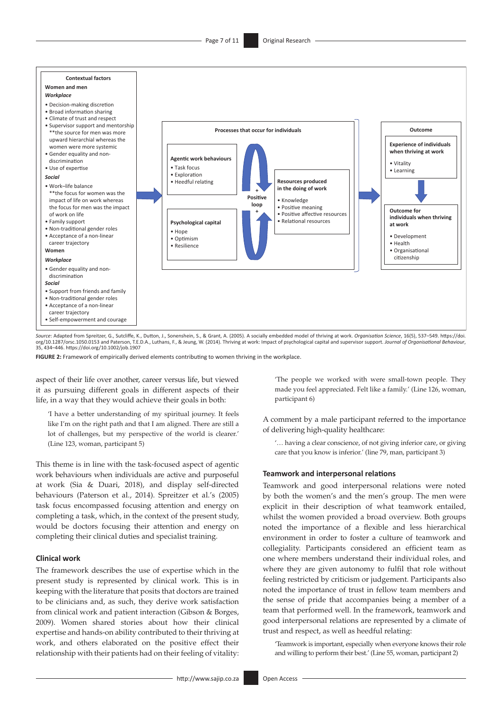

*Source*: Adapted from Spreitzer, G., Sutcliffe, K., Dutton, J., Sonenshein, S., & Grant, A. (2005). A socially embedded model of thriving at work. *Organisation Science*, 16(5), 537–549. [https://doi.](https://doi. org/10.1287/orsc.1050.0153)  [org/10.1287/orsc.1050.0153](https://doi. org/10.1287/orsc.1050.0153) and Paterson, T.E.D.A., Luthans, F., & Jeung, W. (2014). Thriving at work: Impact of psychological capital and supervisor support. Journal of Organisational Behaviour,<br>35, 434–446. https://doi.or

**FIGURE 2:** Framework of empirically derived elements contributing to women thriving in the workplace.

aspect of their life over another, career versus life, but viewed it as pursuing different goals in different aspects of their life, in a way that they would achieve their goals in both:

'I have a better understanding of my spiritual journey. It feels like I'm on the right path and that I am aligned. There are still a lot of challenges, but my perspective of the world is clearer.' (Line 123, woman, participant 5)

This theme is in line with the task-focused aspect of agentic work behaviours when individuals are active and purposeful at work (Sia & Duari, 2018), and display self-directed behaviours (Paterson et al., 2014). Spreitzer et al.'s (2005) task focus encompassed focusing attention and energy on completing a task, which, in the context of the present study, would be doctors focusing their attention and energy on completing their clinical duties and specialist training.

#### **Clinical work**

The framework describes the use of expertise which in the present study is represented by clinical work. This is in keeping with the literature that posits that doctors are trained to be clinicians and, as such, they derive work satisfaction from clinical work and patient interaction (Gibson & Borges, 2009). Women shared stories about how their clinical expertise and hands-on ability contributed to their thriving at work, and others elaborated on the positive effect their relationship with their patients had on their feeling of vitality:

'The people we worked with were small-town people. They made you feel appreciated. Felt like a family.' (Line 126, woman, participant 6)

A comment by a male participant referred to the importance of delivering high-quality healthcare:

'… having a clear conscience, of not giving inferior care, or giving care that you know is inferior.' (line 79, man, participant 3)

#### **Teamwork and interpersonal relations**

Teamwork and good interpersonal relations were noted by both the women's and the men's group. The men were explicit in their description of what teamwork entailed, whilst the women provided a broad overview. Both groups noted the importance of a flexible and less hierarchical environment in order to foster a culture of teamwork and collegiality. Participants considered an efficient team as one where members understand their individual roles, and where they are given autonomy to fulfil that role without feeling restricted by criticism or judgement. Participants also noted the importance of trust in fellow team members and the sense of pride that accompanies being a member of a team that performed well. In the framework, teamwork and good interpersonal relations are represented by a climate of trust and respect, as well as heedful relating:

'Teamwork is important, especially when everyone knows their role and willing to perform their best.' (Line 55, woman, participant 2)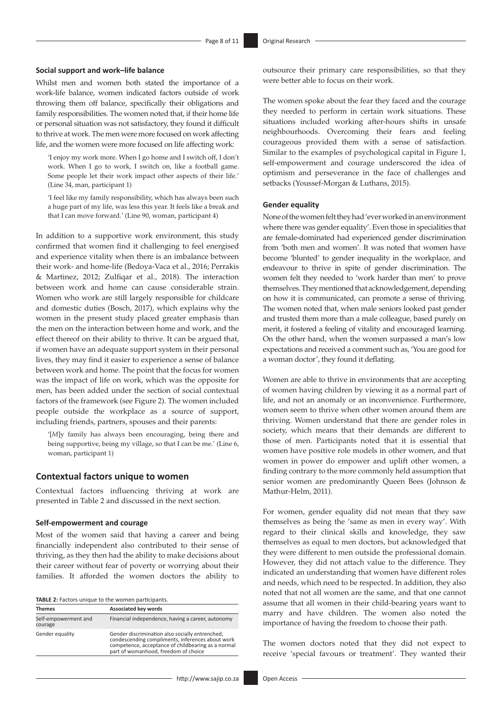#### **Social support and work–life balance**

Whilst men and women both stated the importance of a work-life balance, women indicated factors outside of work throwing them off balance, specifically their obligations and family responsibilities. The women noted that, if their home life or personal situation was not satisfactory, they found it difficult to thrive at work. The men were more focused on work affecting life, and the women were more focused on life affecting work:

'I enjoy my work more. When I go home and I switch off, I don't work. When I go to work, I switch on, like a football game. Some people let their work impact other aspects of their life.' (Line 34, man, participant 1)

'I feel like my family responsibility, which has always been such a huge part of my life, was less this year. It feels like a break and that I can move forward.' (Line 90, woman, participant 4)

In addition to a supportive work environment, this study confirmed that women find it challenging to feel energised and experience vitality when there is an imbalance between their work- and home-life (Bedoya-Vaca et al., 2016; Perrakis & Martinez, 2012; Zulfiqar et al., 2018). The interaction between work and home can cause considerable strain. Women who work are still largely responsible for childcare and domestic duties (Bosch, 2017), which explains why the women in the present study placed greater emphasis than the men on the interaction between home and work, and the effect thereof on their ability to thrive. It can be argued that, if women have an adequate support system in their personal lives, they may find it easier to experience a sense of balance between work and home. The point that the focus for women was the impact of life on work, which was the opposite for men, has been added under the section of social contextual factors of the framework (see Figure 2). The women included people outside the workplace as a source of support, including friends, partners, spouses and their parents:

'[*M*]y family has always been encouraging, being there and being supportive, being my village, so that I can be me.' (Line 6, woman, participant 1)

#### **Contextual factors unique to women**

Contextual factors influencing thriving at work are presented in Table 2 and discussed in the next section.

#### **Self-empowerment and courage**

Most of the women said that having a career and being financially independent also contributed to their sense of thriving, as they then had the ability to make decisions about their career without fear of poverty or worrying about their families. It afforded the women doctors the ability to

| TABLE 2: Factors unique to the women participants. |  |  |  |
|----------------------------------------------------|--|--|--|
|                                                    |  |  |  |

| <b>Themes</b>                   | Associated key words                                                                                                                                                                              |
|---------------------------------|---------------------------------------------------------------------------------------------------------------------------------------------------------------------------------------------------|
| Self-empowerment and<br>courage | Financial independence, having a career, autonomy                                                                                                                                                 |
| Gender equality                 | Gender discrimination also socially entrenched,<br>condescending compliments, inferences about work<br>competence, acceptance of childbearing as a normal<br>part of womanhood, freedom of choice |

outsource their primary care responsibilities, so that they were better able to focus on their work.

The women spoke about the fear they faced and the courage they needed to perform in certain work situations. These situations included working after-hours shifts in unsafe neighbourhoods. Overcoming their fears and feeling courageous provided them with a sense of satisfaction. Similar to the examples of psychological capital in Figure 1, self-empowerment and courage underscored the idea of optimism and perseverance in the face of challenges and setbacks (Youssef-Morgan & Luthans, 2015).

#### **Gender equality**

None of the women felt they had 'ever worked in an environment where there was gender equality'. Even those in specialities that are female-dominated had experienced gender discrimination from 'both men and women'. It was noted that women have become 'blunted' to gender inequality in the workplace, and endeavour to thrive in spite of gender discrimination. The women felt they needed to 'work harder than men' to prove themselves. They mentioned that acknowledgement, depending on how it is communicated, can promote a sense of thriving. The women noted that, when male seniors looked past gender and trusted them more than a male colleague, based purely on merit, it fostered a feeling of vitality and encouraged learning. On the other hand, when the women surpassed a man's low expectations and received a comment such as, 'You are good for a woman doctor', they found it deflating.

Women are able to thrive in environments that are accepting of women having children by viewing it as a normal part of life, and not an anomaly or an inconvenience. Furthermore, women seem to thrive when other women around them are thriving. Women understand that there are gender roles in society, which means that their demands are different to those of men. Participants noted that it is essential that women have positive role models in other women, and that women in power do empower and uplift other women, a finding contrary to the more commonly held assumption that senior women are predominantly Queen Bees (Johnson & Mathur-Helm, 2011).

For women, gender equality did not mean that they saw themselves as being the 'same as men in every way'. With regard to their clinical skills and knowledge, they saw themselves as equal to men doctors, but acknowledged that they were different to men outside the professional domain. However, they did not attach value to the difference. They indicated an understanding that women have different roles and needs, which need to be respected. In addition, they also noted that not all women are the same, and that one cannot assume that all women in their child-bearing years want to marry and have children. The women also noted the importance of having the freedom to choose their path.

The women doctors noted that they did not expect to receive 'special favours or treatment'. They wanted their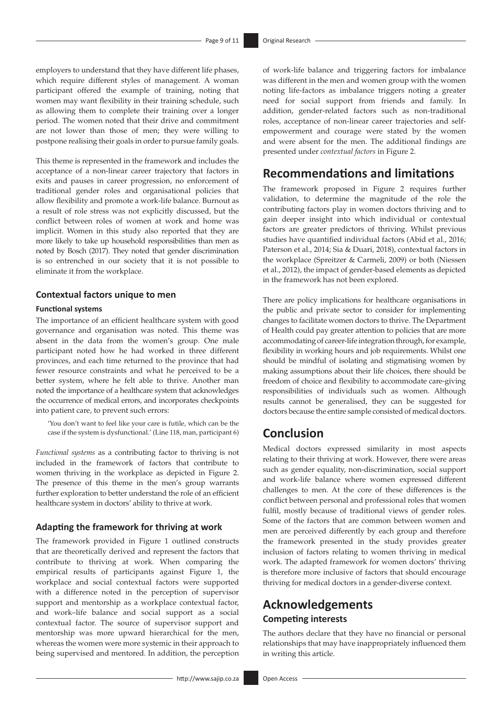employers to understand that they have different life phases, which require different styles of management. A woman participant offered the example of training, noting that women may want flexibility in their training schedule, such as allowing them to complete their training over a longer period. The women noted that their drive and commitment are not lower than those of men; they were willing to postpone realising their goals in order to pursue family goals.

This theme is represented in the framework and includes the acceptance of a non-linear career trajectory that factors in exits and pauses in career progression, no enforcement of traditional gender roles and organisational policies that allow flexibility and promote a work-life balance. Burnout as a result of role stress was not explicitly discussed, but the conflict between roles of women at work and home was implicit. Women in this study also reported that they are more likely to take up household responsibilities than men as noted by Bosch (2017). They noted that gender discrimination is so entrenched in our society that it is not possible to eliminate it from the workplace.

#### **Contextual factors unique to men**

#### **Functional systems**

The importance of an efficient healthcare system with good governance and organisation was noted. This theme was absent in the data from the women's group. One male participant noted how he had worked in three different provinces, and each time returned to the province that had fewer resource constraints and what he perceived to be a better system, where he felt able to thrive. Another man noted the importance of a healthcare system that acknowledges the occurrence of medical errors, and incorporates checkpoints into patient care, to prevent such errors:

'You don't want to feel like your care is futile, which can be the case if the system is dysfunctional.' (Line 118, man, participant 6)

*Functional systems* as a contributing factor to thriving is not included in the framework of factors that contribute to women thriving in the workplace as depicted in Figure 2. The presence of this theme in the men's group warrants further exploration to better understand the role of an efficient healthcare system in doctors' ability to thrive at work.

#### **Adapting the framework for thriving at work**

The framework provided in Figure 1 outlined constructs that are theoretically derived and represent the factors that contribute to thriving at work. When comparing the empirical results of participants against Figure 1, the workplace and social contextual factors were supported with a difference noted in the perception of supervisor support and mentorship as a workplace contextual factor, and work–life balance and social support as a social contextual factor. The source of supervisor support and mentorship was more upward hierarchical for the men, whereas the women were more systemic in their approach to being supervised and mentored. In addition, the perception

of work-life balance and triggering factors for imbalance was different in the men and women group with the women noting life-factors as imbalance triggers noting a greater need for social support from friends and family. In addition, gender-related factors such as non-traditional roles, acceptance of non-linear career trajectories and selfempowerment and courage were stated by the women and were absent for the men. The additional findings are presented under *contextual factors* in Figure 2.

### **Recommendations and limitations**

The framework proposed in Figure 2 requires further validation, to determine the magnitude of the role the contributing factors play in women doctors thriving and to gain deeper insight into which individual or contextual factors are greater predictors of thriving. Whilst previous studies have quantified individual factors (Abid et al., 2016; Paterson et al., 2014; Sia & Duari, 2018), contextual factors in the workplace (Spreitzer & Carmeli, 2009) or both (Niessen et al., 2012), the impact of gender-based elements as depicted in the framework has not been explored.

There are policy implications for healthcare organisations in the public and private sector to consider for implementing changes to facilitate women doctors to thrive. The Department of Health could pay greater attention to policies that are more accommodating of career-life integration through, for example, flexibility in working hours and job requirements. Whilst one should be mindful of isolating and stigmatising women by making assumptions about their life choices, there should be freedom of choice and flexibility to accommodate care-giving responsibilities of individuals such as women. Although results cannot be generalised, they can be suggested for doctors because the entire sample consisted of medical doctors.

## **Conclusion**

Medical doctors expressed similarity in most aspects relating to their thriving at work. However, there were areas such as gender equality, non-discrimination, social support and work-life balance where women expressed different challenges to men. At the core of these differences is the conflict between personal and professional roles that women fulfil, mostly because of traditional views of gender roles. Some of the factors that are common between women and men are perceived differently by each group and therefore the framework presented in the study provides greater inclusion of factors relating to women thriving in medical work. The adapted framework for women doctors' thriving is therefore more inclusive of factors that should encourage thriving for medical doctors in a gender-diverse context.

# **Acknowledgements Competing interests**

The authors declare that they have no financial or personal relationships that may have inappropriately influenced them in writing this article.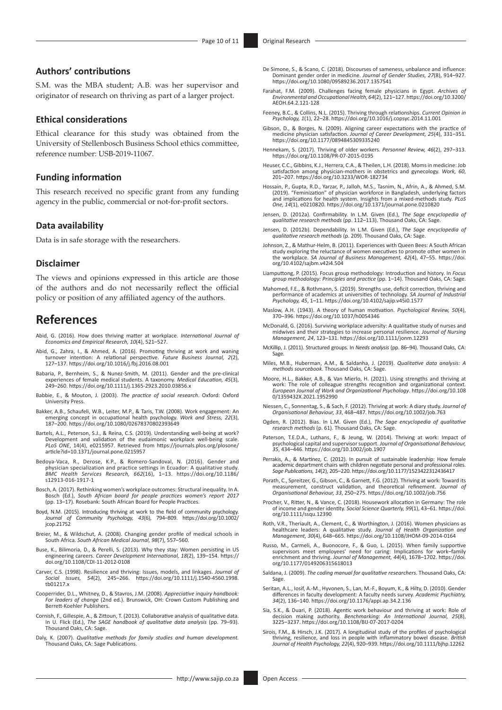#### **Authors' contributions**

S.M. was the MBA student; A.B. was her supervisor and originator of research on thriving as part of a larger project.

#### **Ethical considerations**

Ethical clearance for this study was obtained from the University of Stellenbosch Business School ethics committee, reference number: USB-2019-11067.

#### **Funding information**

This research received no specific grant from any funding agency in the public, commercial or not-for-profit sectors.

#### **Data availability**

Data is in safe storage with the researchers.

#### **Disclaimer**

The views and opinions expressed in this article are those of the authors and do not necessarily reflect the official policy or position of any affiliated agency of the authors.

### **References**

- Abid, G. (2016). How does thriving matter at workplace. *International Journal of Economics and Empirical Research, 10*(4), 521–527.
- Abid, G., Zahra, I., & Ahmed, A. (2016). Promoting thriving at work and waning turnover intention: A relational perspective. *Future Business Journal, 2*(2), 127–137. <https://doi.org/10.1016/j.fbj.2016.08.001>
- Babaria, P., Bernheim, S., & Nunez-Smith, M. (2011). Gender and the pre-clinical experiences of female medical students. A taxonomy. *Medical Education, 45*(3), 249–260. <https://doi.org/10.1111/j.1365-2923.2010.03856.x>
- Babbie, E., & Mouton, J. (2003). *The practice of social research*. Oxford: Oxford University Press.
- Bakker, A.B., Schaufeli, W.B., Leiter, M.P., & Taris, T.W. (2008). Work engagement: An emerging concept in occupational health psychology. *Work and Stress, 22*(3), 187–200. <https://doi.org/10.1080/02678370802393649>
- Bartels, A.L., Peterson, S.J., & Reina, C.S. (2019). Understanding well-being at work?<br>Development and validation of the eudaimonic workplace well-being scale.<br>PLoS ONE, 14(4), e0215957. Retrieved from https://journals.plo [article?id=10.1371/journal.pone.0215957](https://journals.plos.org/plosone/article?id=10.1371/journal.pone.0215957)
- Bedoya-Vaca, R., Derose, K.P., & Romero-Sandoval, N. (2016). Gender and physician specialization and practice settings in Ecuador: A qualitative study. *BMC Health Services Research, 662*(16), 1–13. [https://doi.org/10.1186/](https://doi.org/10.1186/s12913-016-1917-1) [s12913-016-1917-1](https://doi.org/10.1186/s12913-016-1917-1)
- Bosch, A. (2017). Rethinking women's workplace outcomes: Structural inequality. In A. Bosch (Ed.), *South African board for people practices women's report 2017* (pp. 13–17). Rosebank: South African Board for People Practices.
- Boyd, N.M. (2015). Introducing thriving at work to the field of community psychology. *Journal of Community Psychology, 43*(6), 794–809. [https://doi.org/10.1002/](https://doi.org/10.1002/jcop.21752) [jcop.21752](https://doi.org/10.1002/jcop.21752)
- Breier, M., & Wildschut, A. (2008). Changing gender profile of medical schools in South Africa. *South African Medical Journal, 98*(7), 557–560.
- Buse, K., Bilimoria, D., & Perelli, S. (2013). Why they stay: Women persisting in US engineering careers. *Career Development International, 18*(2), 139–154. [https://](https://doi.org/10.1108/CDI-11-2012-0108) [doi.org/10.1108/CDI-11-2012-0108](https://doi.org/10.1108/CDI-11-2012-0108)
- Carver, C.S. (1998). Resilience and thriving: Issues, models, and linkages. *Journal of Social Issues, 54*(2), 245–266. [https://doi.org/10.1111/j.1540-4560.1998.](https://doi.org/10.1111/j.1540-4560.1998.tb01217.x) [tb01217.x](https://doi.org/10.1111/j.1540-4560.1998.tb01217.x)
- Cooperrider, D.L., Whitney, D., & Stavros, J.M. (2008). *Appreciative inquiry handbook: For leaders of change* (2nd ed.). Brunswick, OH: Crown Custom Publishing and Berrett-Koehler Publishers.
- Cornish, F., Gillespie, A., & Zittoun, T. (2013). Collaborative analysis of qualitative data. In U. Flick (Ed.), *The SAGE handbook of qualitative data analysis* (pp. 79–93). Thousand Oaks, CA: Sage.
- Daly, K. (2007). *Qualitative methods for family studies and human development.*  Thousand Oaks, CA: Sage Publications.
- Farahat, F.M. (2009). Challenges facing female physicians in Egypt. *Archives of Environmental and Occupational Health, 64*(2), 121–127. [https://doi.org/10.3200/](https://doi.org/10.3200/AEOH.64.2.121-128) [AEOH.64.2.121-128](https://doi.org/10.3200/AEOH.64.2.121-128)
- Feeney, B.C., & Collins, N.L. (2015). Thriving through relationships. *Current Opinion in Psychology, 1*(1), 22–28.<https://doi.org/10.1016/j.copsyc.2014.11.001>
- Gibson, D., & Borges, N. (2009). Aligning career expectations with the practice of medicine physician satisfaction. *Journal of Career Development, 25*(4), 331–351. <https://doi.org/10.1177/0894845309335240>
- Hennekam, S. (2017). Thriving of older workers. *Personnel Review, 46*(2), 297–313. <https://doi.org/10.1108/PR-07-2015-0195>
- Heuser, C.C., Gibbins, K.J., Herrera, C.A., & Theilen, L.H. (2018). Moms in medicine: Job satisfaction among physician-mothers in obstetrics and gynecology. *Work, 60*, 201–207.<https://doi.org/10.3233/WOR-182734>
- Hossain, P., Gupta, R.D., Yarzar, P., Jalloh, M.S., Tasnim, N., Afrin, A., & Ahmed, S.M.<br>(2019). "Feminization" of physician workforce in Bangladesh, underlying factors)<br>and implications for health system. Insights from a *One, 14*(1), e0210820. <https://doi.org/10.1371/journal.pone.0210820>
- Jensen, D. (2012a). Confirmability. In L.M. Given (Ed.), *The Sage encyclopedia of qualitative research methods* (pp. 112–113). Thousand Oaks, CA: Sage.
- Jensen, D. (2012b). Dependability. In L.M. Given (Ed.), *The Sage encyclopedia of qualitative research methods* (p. 209). Thousand Oaks, CA: Sage.
- Johnson, Z., & Mathur-Helm, B. (2011). Experiences with Queen Bees: A South African study exploring the reluctance of women executives to promote other women in the workplace. *SA Journal of Business Management, 42*(4), 47–55. [https://doi.](https://doi.org/10.4102/sajbm.v42i4.504) [org/10.4102/sajbm.v42i4.504](https://doi.org/10.4102/sajbm.v42i4.504)
- Liamputtong, P. (2015). Focus group methodology: Introduction and history. In *Focus group methodology: Principles and practice* (pp. 1–14). Thousand Oaks, CA: Sage.
- Mahomed, F.E., & Rothmann, S. (2019). Strengths use, deficit correction, thriving and performance of academics at universities of technology. *SA Journal of Industrial Psychology, 45*, 1–11.<https://doi.org/10.4102/sajip.v45i0.1577>
- Maslow, A.H. (1943). A theory of human motivation. *Psychological Review, 50*(4), 370–396.<https://doi.org/10.1037/h0054346>
- McDonald, G. (2016). Surviving workplace adversity: A qualitative study of nurses and midwives and their strategies to increase personal resilience. *Journal of Nursing Management, 24*, 123–131. <https://doi.org/10.1111/jonm.12293>
- McKillip, J. (2011). Structured groups. In *Needs analysis* (pp. 86–94). Thousand Oaks, CA: Sage.
- Miles, M.B., Huberman, A.M., & Saldanha, J. (2019). *Qualitative data analysis: A methods sourcebook*. Thousand Oaks, CA: Sage.
- Moore, H.L., Bakker, A.B., & Van Mierlo, H. (2021). Using strengths and thriving at work: The role of colleague strengths recognition and organizational context. *European Journal of Work and Organizational Psychology*. [https://doi.org/10.108](https://doi.org/10.1080/1359432X.2021.1952990) [0/1359432X.2021.1952990](https://doi.org/10.1080/1359432X.2021.1952990)
- Niessen, C., Sonnentag, S., & Sach, F. (2012). Thriving at work: A diary study. *Journal of Organisational Behaviour, 33*, 468–487. <https://doi.org/10.1002/job.763>
- Ogden, R. (2012). Bias. In L.M. Given (Ed.), *The Sage encyclopedia of qualitative research methods* (p. 61). Thousand Oaks, CA: Sage.
- Paterson, T.E.D.A., Luthans, F., & Jeung, W. (2014). Thriving at work: Impact of psychological capital and supervisor support. *Journal of Organisational Behaviour, 35*, 434–446. <https://doi.org/10.1002/job.1907>
- Perrakis, A., & Martinez, C. (2012). In pursuit of sustainable leadership: How female academic department chairs with children negotiate personal and professional roles. *Sage Publications, 14*(2), 205–220. <https://doi.org/10.1177/1523422312436417>
- Porath, C., Spreitzer, G., Gibson, C., & Garnett, F.G. (2012). Thriving at work: Toward its measurement, construct validation, and theoretical refinement. *Journal of Organisational Behaviour, 33*, 250–275. <https://doi.org/10.1002/job.756>
- Procher, V., Ritter, N., & Vance, C. (2018). Housework allocation in Germany: The role of income and gender identity. *Social Science Quarterly, 99*(1), 43–61. [https://doi.](https://doi.org/10.1111/ssqu.12390) [org/10.1111/ssqu.12390](https://doi.org/10.1111/ssqu.12390)
- Roth, V.R., Theriault, A., Clement, C., & Worthington, J. (2016). Women physicians as healthcare leaders: A qualitative study. *Journal of Health Organization and Management, 30*(4), 648–665.<https://doi.org/10.1108/JHOM-09-2014-0164>
- Russo, M., Carmeli, A., Buonocore, F., & Guo, L. (2015). When family supportive supervisors meet employees' need for caring: Implications for work–family enrichment and thriving. *Journal of Management, 44*(4), 1678–1702. [https://doi.](https://doi.org/10.1177/0149206315618013) [org/10.1177/0149206315618013](https://doi.org/10.1177/0149206315618013)
- Saldana, J. (2009). *The coding manual for qualitative researchers*. Thousand Oaks, CA: Sage.
- Seritan, A.L., Iosif, A.-M., Hyvonen, S., Lan, M.-F., Boyum, K., & Hilty, D. (2010). Gender differences in faculty development: A faculty needs survey. *Academic Psychiatry, 34*(2), 136–140.<https://doi.org/10.1176/appi.ap.34.2.136>
- Sia, S.K., & Duari, P. (2018). Agentic work behaviour and thriving at work: Role of decision making authority. *Benchmarking: An International Journal, 25*(8), 3225–3237.<https://doi.org/10.1108/BIJ-07-2017-0204>
- Sirois, F.M., & Hirsch, J.K. (2017). A longitudinal study of the profiles of psychological thriving, resilience, and loss in people with inflammatory bowel disease. *British Journal of Health Psychology, 22*(4), 920–939. <https://doi.org/10.1111/bjhp.12262>